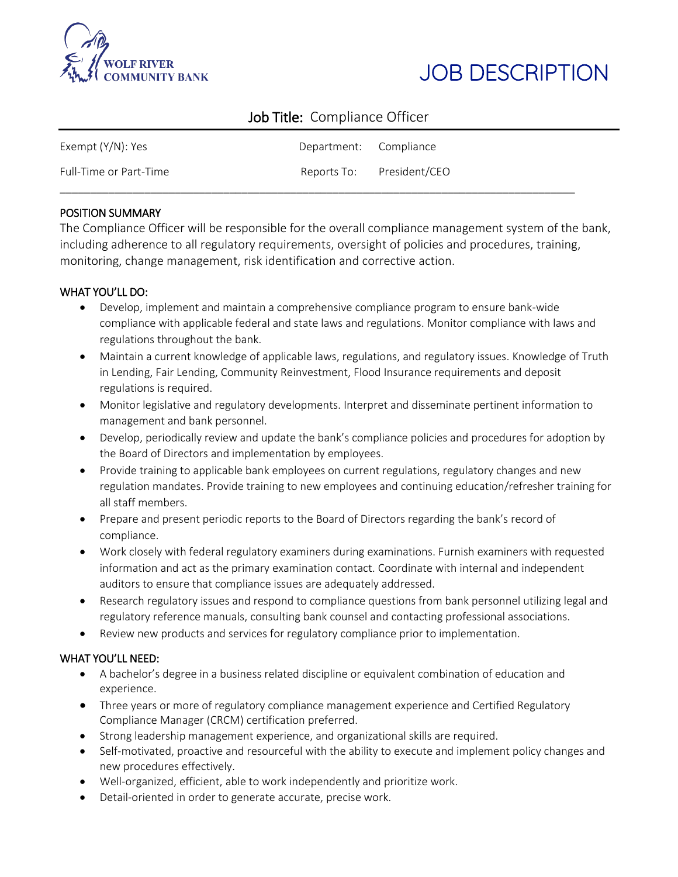



# Job Title: Compliance Officer

| Exempt (Y/N): Yes      | Department: Compliance    |  |
|------------------------|---------------------------|--|
| Full-Time or Part-Time | Reports To: President/CEO |  |

## POSITION SUMMARY

The Compliance Officer will be responsible for the overall compliance management system of the bank, including adherence to all regulatory requirements, oversight of policies and procedures, training, monitoring, change management, risk identification and corrective action.

# WHAT YOU'LL DO:

- Develop, implement and maintain a comprehensive compliance program to ensure bank-wide compliance with applicable federal and state laws and regulations. Monitor compliance with laws and regulations throughout the bank.
- Maintain a current knowledge of applicable laws, regulations, and regulatory issues. Knowledge of Truth in Lending, Fair Lending, Community Reinvestment, Flood Insurance requirements and deposit regulations is required.
- Monitor legislative and regulatory developments. Interpret and disseminate pertinent information to management and bank personnel.
- Develop, periodically review and update the bank's compliance policies and procedures for adoption by the Board of Directors and implementation by employees.
- Provide training to applicable bank employees on current regulations, regulatory changes and new regulation mandates. Provide training to new employees and continuing education/refresher training for all staff members.
- Prepare and present periodic reports to the Board of Directors regarding the bank's record of compliance.
- Work closely with federal regulatory examiners during examinations. Furnish examiners with requested information and act as the primary examination contact. Coordinate with internal and independent auditors to ensure that compliance issues are adequately addressed.
- Research regulatory issues and respond to compliance questions from bank personnel utilizing legal and regulatory reference manuals, consulting bank counsel and contacting professional associations.
- Review new products and services for regulatory compliance prior to implementation.

# WHAT YOU'LL NEED:

- A bachelor's degree in a business related discipline or equivalent combination of education and experience.
- Three years or more of regulatory compliance management experience and Certified Regulatory Compliance Manager (CRCM) certification preferred.
- Strong leadership management experience, and organizational skills are required.
- Self-motivated, proactive and resourceful with the ability to execute and implement policy changes and new procedures effectively.
- Well-organized, efficient, able to work independently and prioritize work.
- Detail-oriented in order to generate accurate, precise work.